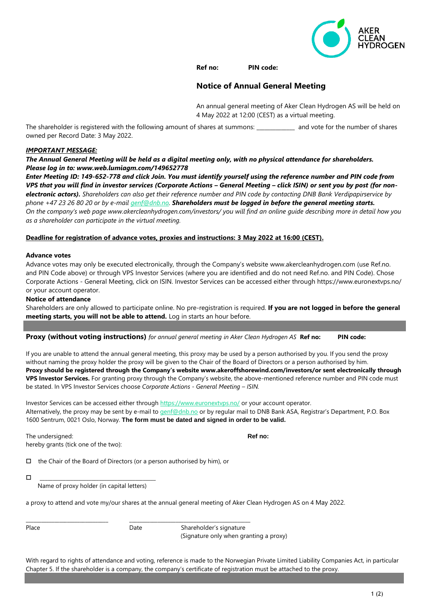

# **Ref no: PIN code:**

# **Notice of Annual General Meeting**

An annual general meeting of Aker Clean Hydrogen AS will be held on 4 May 2022 at 12:00 (CEST) as a virtual meeting.

The shareholder is registered with the following amount of shares at summons: and vote for the number of shares owned per Record Date: 3 May 2022.

## *IMPORTANT MESSAGE:*

*The Annual General Meeting will be held as a digital meeting only, with no physical attendance for shareholders. Please log in to: www.web.lumiagm.com/149652778*

*Enter Meeting ID: 149-652-778 and click Join. You must identify yourself using the reference number and PIN code from VPS that you will find in investor services (Corporate Actions – General Meeting – click ISIN) or sent you by post (for nonelectronic actors). Shareholders can also get their reference number and PIN code by contacting DNB Bank Verdipapirservice by phone +47 23 26 80 20 or by e-mail [genf@dnb.no.](mailto:genf@dnb.no) Shareholders must be logged in before the general meeting starts. On the company's web page [www.akercleanhydrogen.com/investors/](http://www.akercleanhydrogen.com/investors/) you will find an online guide describing more in detail how you as a shareholder can participate in the virtual meeting.*

## **Deadline for registration of advance votes, proxies and instructions: 3 May 2022 at 16:00 (CEST).**

#### **Advance votes**

Advance votes may only be executed electronically, through the Company's website www.akercleanhydrogen.com (use Ref.no. and PIN Code above) or through VPS Investor Services (where you are identified and do not need Ref.no. and PIN Code). Chose Corporate Actions - General Meeting, click on ISIN. Investor Services can be accessed either through https://www.euronextvps.no/ or your account operator.

## **Notice of attendance**

Shareholders are only allowed to participate online. No pre-registration is required. **If you are not logged in before the general meeting starts, you will not be able to attend.** Log in starts an hour before.

## **Proxy (without voting instructions)** *for annual general meeting in Aker Clean Hydrogen AS* **Ref no: PIN code:**

If you are unable to attend the annual general meeting, this proxy may be used by a person authorised by you. If you send the proxy without naming the proxy holder the proxy will be given to the Chair of the Board of Directors or a person authorised by him. **Proxy should be registered through the Company's website www.akeroffshorewind.com/investors/or sent electronically through VPS Investor Services.** For granting proxy through the Company's website, the above-mentioned reference number and PIN code must be stated. In VPS Investor Services choose *Corporate Actions - General Meeting – ISIN.*

Investor Services can be accessed either throug[h https://www.euronextvps.no/](https://www.euronextvps.no/) or your account operator. Alternatively, the proxy may be sent by e-mail to [genf@dnb.no](mailto:genf@dnb.no) or by regular mail to DNB Bank ASA, Registrar's Department, P.O. Box 1600 Sentrum, 0021 Oslo, Norway. **The form must be dated and signed in order to be valid.**

The undersigned: **Ref no: Ref no: Ref no: Ref no: Ref no: Ref no: Ref no: Ref no: Ref no: Ref no: Ref no: Ref no: Ref no: Ref no: Ref no: Ref no: Ref no: Ref no: Ref no: Ref no: Ref** hereby grants (tick one of the two):

 $\Box$  the Chair of the Board of Directors (or a person authorised by him), or

\_\_\_\_\_\_\_\_\_\_\_\_\_\_\_\_\_\_\_\_\_\_\_\_\_\_\_\_\_\_\_\_\_\_\_\_\_\_\_\_\_\_\_\_\_

Name of proxy holder (in capital letters)

a proxy to attend and vote my/our shares at the annual general meeting of Aker Clean Hydrogen AS on 4 May 2022.

Place **Date** Date Shareholder's signature (Signature only when granting a proxy)

With regard to rights of attendance and voting, reference is made to the Norwegian Private Limited Liability Companies Act, in particular Chapter 5. If the shareholder is a company, the company's certificate of registration must be attached to the proxy.